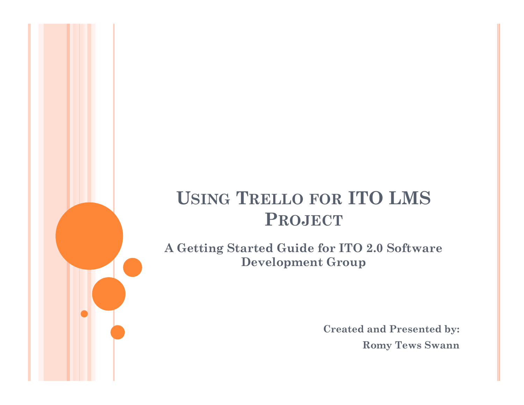# USING TRELLO FOR ITO LMS<br>PROJECT PROJECT

A Getting Started Guide for ITO 2.0 Software Development Group

> Created and Presented by: Romy Tews Swann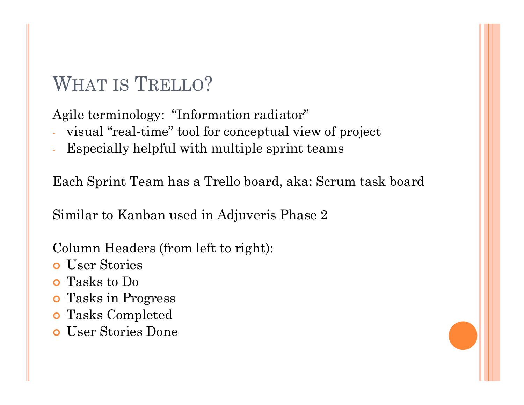WHAT IS TRELLO?<br>Agile terminology: "Information radiator" Agile terminology: "Information radiator"

- visual "real-time" tool for conceptual view of project
- Especially helpful with multiple sprint teams

Each Sprint Team has a Trello board, aka: Scrum task board WHAT IS TRELLO?<br>
Agile terminology: "Information radiator"<br>
- visual "real-time" tool for conceptual view of project<br>
- Especially helpful with multiple sprint teams<br>
Each Sprint Team has a Trello board, aka: Scrum task bo

Column Headers (from left to right):

- User Stories
- Tasks to Do
- Tasks in Progress
- Tasks Completed
- User Stories Done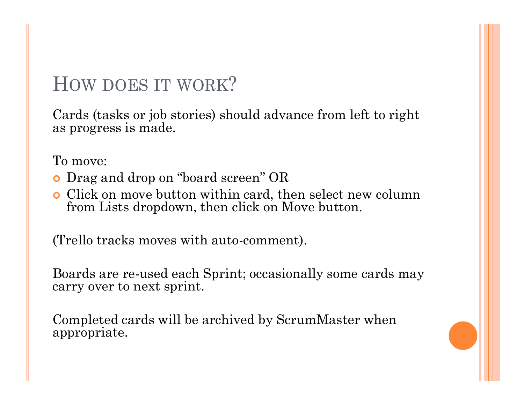HOW DOES IT WORK?<br>Cards (tasks or job stories) should advance from left to r<br>as progress is made Cards (tasks or job stories) should advance from left to right as progress is made.

To move:

- Drag and drop on "board screen" OR
- Click on move button within card, then select new column from Lists dropdown, then click on Move button.

(Trello tracks moves with auto-comment).

Boards are re-used each Sprint; occasionally some cards may carry over to next sprint. To move:<br>
o Drag and drop on "board screen" OR<br>
o Click on move button within card, then select new column<br>
from Lists dropdown, then click on Move button.<br>
(Trello tracks moves with auto-comment).<br>
Boards are re-used each

appropriate.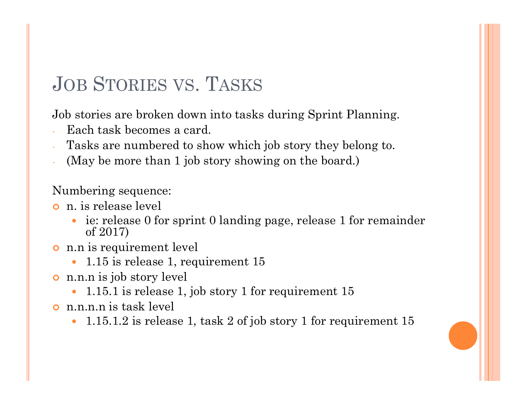JOB STORIES VS. TASKS<br>Job stories are broken down into tasks during Sprint Plannin Job stories are broken down into tasks during Sprint Planning.

- Each task becomes a card.
- Tasks are numbered to show which job story they belong to.
- (May be more than 1 job story showing on the board.)

#### Numbering sequence:

- n. is release level
- ie: release 0 for sprint 0 landing page, release 1 for remainder of 2017) JOB STORIES VS. TASKS<br>Job stories are broken down into tasks during<br>Each task becomes a card.<br>Tasks are numbered to show which job stor<br>(May be more than 1 job story showing on t<br>Numbering sequence:<br>• n. is release level<br>• Job stories are broken down into tasks during S<br>
- Each task becomes a card.<br>
- Tasks are numbered to show which job story<br>
(May be more than 1 job story showing on the<br>
Numbering sequence:<br>
• i.e release level<br>
• ie: rele Tasks are numbered to show which job story th<br>
(May be more than 1 job story showing on the b<br>
Numbering sequence:<br>
• n. is release level<br>
• ie: release 0 for sprint 0 landing page, release<br>
of 2017)<br>
• n.n is requirement
- - 1.15 is release 1, requirement 15
- - 1.15.1 is release 1, job story 1 for requirement 15
- - 1.15.1.2 is release 1, task 2 of job story 1 for requirement 15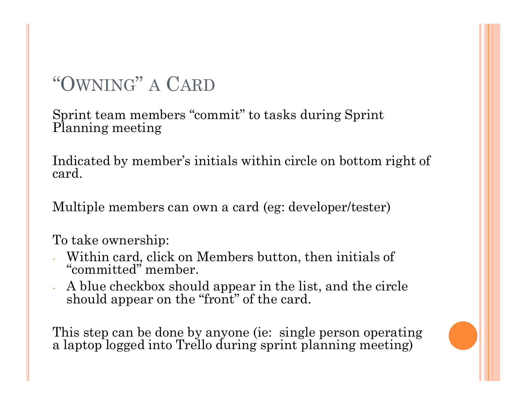# "OWNING" A CARD

Sprint team members "commit" to tasks during Sprint Planning meeting

Indicated by member's initials within circle on bottom right of card.

Multiple members can own a card (eg: developer/tester)

To take ownership:

- Within card, click on Members button, then initials of "committed" member.
- A blue checkbox should appear in the list, and the circle should appear on the "front" of the card.

This step can be done by anyone (ie: single person operating a laptop logged into Trello during sprint planning meeting)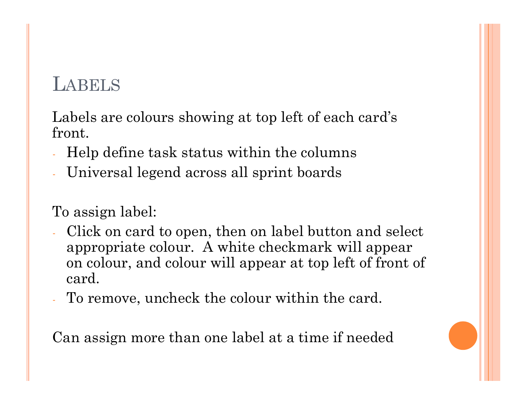## LABELS

LABELS<br>Labels are colours showing at top left of each card's<br>front.<br>- Help define task status within the columns front.

- Help define task status within the columns
- Universal legend across all sprint boards

#### To assign label:

- Click on card to open, then on label button and select appropriate colour. A white checkmark will appear EVENDE<br>
SINCE SINCE SONG THE SPACE OF SPACE OF SPACE AND MELT A Help define task status within the columns<br>
Universal legend across all sprint boards<br>
Dassign label:<br>
Click on card to open, then on label button and select<br> card. Front.<br>
- Help define task status within the columns<br>
- Universal legend across all sprint boards<br>
- Click on card to open, then on label button and select<br>
- Click on card to open, then on label button and select<br>
- appro
- 

Can assign more than one label at a time if needed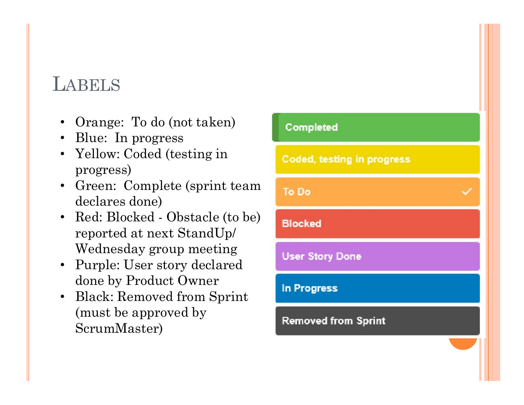### LABELS

- Orange: To do (not taken) completed
- Blue: In progress
- Yellow: Coded (testing in **Coded, testing in progress** progress)
- Green: Complete (sprint team To Do declares done)
- reported at next StandUp/ Wednesday group meeting User Story Done
- Purple: User story declared done by Product Owner
- Black: Removed from Sprint (must be approved by ScrumMaster)

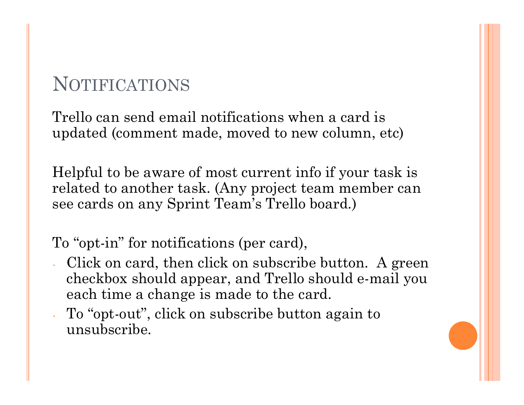## NOTIFICATIONS

Trello can send email notifications when a card is updated (comment made, moved to new column, etc)

Helpful to be aware of most current info if your task is related to another task. (Any project team member can see cards on any Sprint Team's Trello board.)

- To "opt-in" for notifications (per card),<br>- Click on card, then click on subscribe button. A green checkbox should appear, and Trello should e-mail you each time a change is made to the card.
- To "opt-out", click on subscribe button again to unsubscribe.